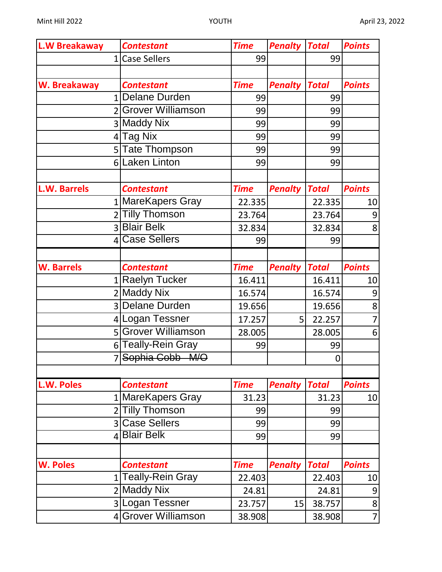| <b>L.W Breakaway</b> | <b>Contestant</b>   | <b>Time</b> | <b>Penalty</b> | <b>Total</b> | <b>Points</b>    |
|----------------------|---------------------|-------------|----------------|--------------|------------------|
|                      | 1 Case Sellers      | 99          |                | 99           |                  |
|                      |                     |             |                |              |                  |
| W. Breakaway         | <b>Contestant</b>   | <b>Time</b> | <b>Penalty</b> | <b>Total</b> | <b>Points</b>    |
|                      | 1 Delane Durden     | 99          |                | 99           |                  |
|                      | 2 Grover Williamson | 99          |                | 99           |                  |
|                      | 3 Maddy Nix         | 99          |                | 99           |                  |
|                      | 4 Tag Nix           | 99          |                | 99           |                  |
|                      | 5 Tate Thompson     | 99          |                | 99           |                  |
|                      | 6 Laken Linton      | 99          |                | 99           |                  |
|                      |                     |             |                |              |                  |
| <b>L.W. Barrels</b>  | <b>Contestant</b>   | <b>Time</b> | <b>Penalty</b> | <b>Total</b> | <b>Points</b>    |
|                      | 1 MareKapers Gray   | 22.335      |                | 22.335       | 10               |
|                      | 2 Tilly Thomson     | 23.764      |                | 23.764       | $\boldsymbol{9}$ |
|                      | 3 Blair Belk        | 32.834      |                | 32.834       | 8                |
|                      | 4 Case Sellers      | 99          |                | 99           |                  |
|                      |                     |             |                |              |                  |
| <b>W. Barrels</b>    | <b>Contestant</b>   | <b>Time</b> | <b>Penalty</b> | <b>Total</b> | <b>Points</b>    |
|                      | 1 Raelyn Tucker     | 16.411      |                | 16.411       | 10               |
|                      | 2 Maddy Nix         | 16.574      |                | 16.574       | 9                |
|                      | 3 Delane Durden     | 19.656      |                | 19.656       | 8                |
|                      | 4 Logan Tessner     | 17.257      | 5              | 22.257       | $\overline{7}$   |
|                      | 5 Grover Williamson | 28.005      |                | 28.005       | 6                |
|                      | 6 Teally-Rein Gray  | 99          |                | 99           |                  |
|                      | 7 Sophia Cobb M/O   |             |                | 0            |                  |
|                      |                     |             |                |              |                  |
| L.W. Poles           | <b>Contestant</b>   | <b>Time</b> | <b>Penalty</b> | <b>Total</b> | <b>Points</b>    |
|                      | 1 MareKapers Gray   | 31.23       |                | 31.23        | 10               |
|                      | 2 Tilly Thomson     | 99          |                | 99           |                  |
|                      | 3 Case Sellers      | 99          |                | 99           |                  |
|                      | 4 Blair Belk        | 99          |                | 99           |                  |
|                      |                     |             |                |              |                  |
| <b>W. Poles</b>      | <b>Contestant</b>   | <b>Time</b> | <b>Penalty</b> | <b>Total</b> | <b>Points</b>    |
|                      | 1 Teally-Rein Gray  | 22.403      |                | 22.403       | 10               |
|                      | 2 Maddy Nix         | 24.81       |                | 24.81        | 9                |
|                      | 3 Logan Tessner     | 23.757      | 15             | 38.757       | 8                |
|                      | 4 Grover Williamson | 38.908      |                | 38.908       | $\overline{7}$   |